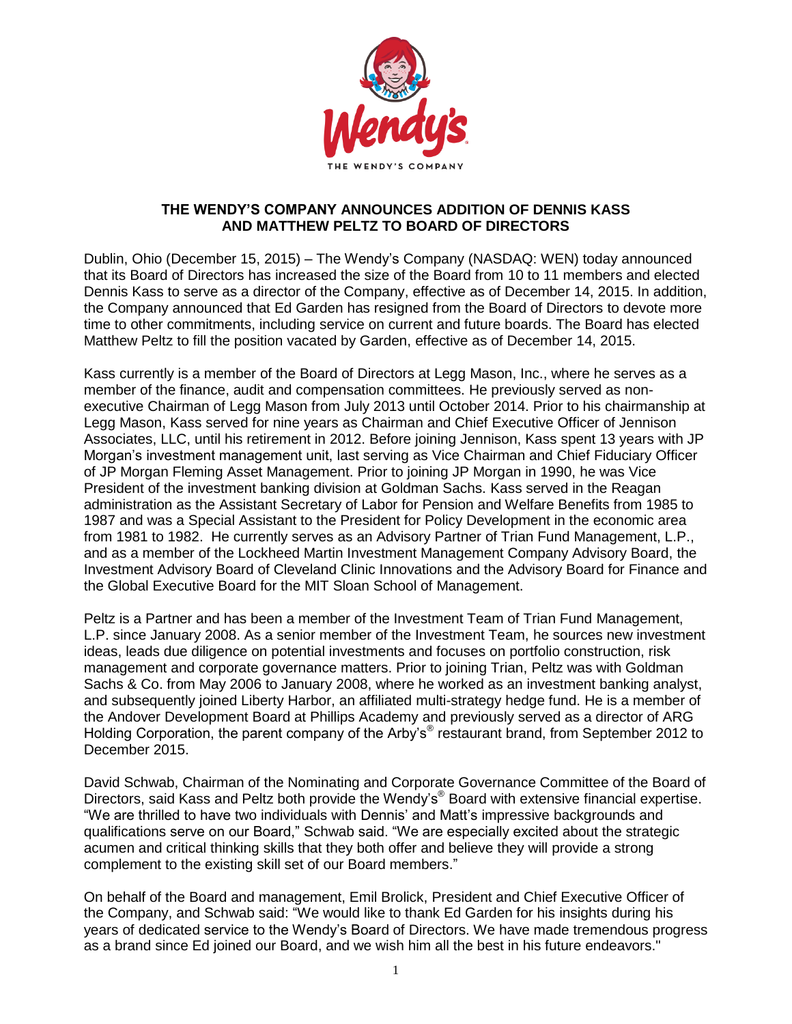

## **THE WENDY'S COMPANY ANNOUNCES ADDITION OF DENNIS KASS AND MATTHEW PELTZ TO BOARD OF DIRECTORS**

Dublin, Ohio (December 15, 2015) – The Wendy's Company (NASDAQ: WEN) today announced that its Board of Directors has increased the size of the Board from 10 to 11 members and elected Dennis Kass to serve as a director of the Company, effective as of December 14, 2015. In addition, the Company announced that Ed Garden has resigned from the Board of Directors to devote more time to other commitments, including service on current and future boards. The Board has elected Matthew Peltz to fill the position vacated by Garden, effective as of December 14, 2015.

Kass currently is a member of the Board of Directors at Legg Mason, Inc., where he serves as a member of the finance, audit and compensation committees. He previously served as nonexecutive Chairman of Legg Mason from July 2013 until October 2014. Prior to his chairmanship at Legg Mason, Kass served for nine years as Chairman and Chief Executive Officer of Jennison Associates, LLC, until his retirement in 2012. Before joining Jennison, Kass spent 13 years with JP Morgan's investment management unit, last serving as Vice Chairman and Chief Fiduciary Officer of JP Morgan Fleming Asset Management. Prior to joining JP Morgan in 1990, he was Vice President of the investment banking division at Goldman Sachs. Kass served in the Reagan administration as the Assistant Secretary of Labor for Pension and Welfare Benefits from 1985 to 1987 and was a Special Assistant to the President for Policy Development in the economic area from 1981 to 1982. He currently serves as an Advisory Partner of Trian Fund Management, L.P., and as a member of the Lockheed Martin Investment Management Company Advisory Board, the Investment Advisory Board of Cleveland Clinic Innovations and the Advisory Board for Finance and the Global Executive Board for the MIT Sloan School of Management.

Peltz is a Partner and has been a member of the Investment Team of Trian Fund Management, L.P. since January 2008. As a senior member of the Investment Team, he sources new investment ideas, leads due diligence on potential investments and focuses on portfolio construction, risk management and corporate governance matters. Prior to joining Trian, Peltz was with Goldman Sachs & Co. from May 2006 to January 2008, where he worked as an investment banking analyst, and subsequently joined Liberty Harbor, an affiliated multi-strategy hedge fund. He is a member of the Andover Development Board at Phillips Academy and previously served as a director of ARG Holding Corporation, the parent company of the Arby's<sup>®</sup> restaurant brand, from September 2012 to December 2015.

David Schwab, Chairman of the Nominating and Corporate Governance Committee of the Board of Directors, said Kass and Peltz both provide the Wendy's<sup>®</sup> Board with extensive financial expertise. "We are thrilled to have two individuals with Dennis' and Matt's impressive backgrounds and qualifications serve on our Board," Schwab said. "We are especially excited about the strategic acumen and critical thinking skills that they both offer and believe they will provide a strong complement to the existing skill set of our Board members."

On behalf of the Board and management, Emil Brolick, President and Chief Executive Officer of the Company, and Schwab said: "We would like to thank Ed Garden for his insights during his years of dedicated service to the Wendy's Board of Directors. We have made tremendous progress as a brand since Ed joined our Board, and we wish him all the best in his future endeavors."